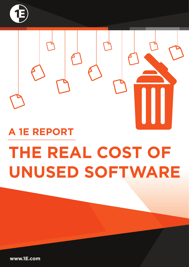



# **THE REAL COST OF UNUSED SOFTWARE A 1E REPORT**

**www.1E.com**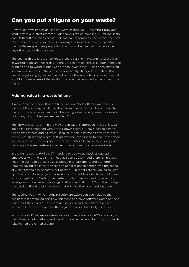#### Can you put a figure on your waste?

How much is wasted or unused software costing you? This report provides insight from our latest research. Our analysis, which covering 3.6 million seats and 1,800 software titles across 129 leading corporations, shows that the level of waste in this area is extreme. On average, companies are wasting 37% of their software spend —a proportion that would be deemed unacceptable in any other part of the business.

The cost of this waste is enormous: in the US alone it amounts to \$30 billion in wasted IT dollars. According to the Borgen Project, this is enough money to bring an end to world hunger. Over the four years that 1E has been analyzing software waste trends, the statistics have barely changed. Yet behind this headline-grabbing figure lies the real cost of this waste to business—one that is robbing businesses of the ability to secure their survival by becoming truly digital.

#### **Adding value in a wasteful age**

It may come as a shock that the financial impact of software waste is just the tip of the iceberg. While the short-term financial implications are acute, the cost to a business's health can be even greater. So why aren't businesses doing anything to become less wasteful?

The answer lies in a shift in the way organizations approach IT. In 2015, CIOs are no longer concerned with driving down costs, but have instead turned their gaze towards adding value. Because of this, eliminating software waste, which is often seen as a cost-cutting exercise, has slipped to a far lower place in their priorities. This de-prioritization is a mistake because controlling and reducing software waste adds value to the business in a number of ways.

In the first place, part of the IT mandate to add value involves equipping employees with the tools they need as soon as they need them. Employees need the ability to get as close as possible to customers, and that often requires having the latest devices and applications to hand. Given the speed at which technology becomes out of date, IT budgets are struggling to keep up. How often do employees request an important tool only to be told there is no budget for it? Cutting the waste out of software spend by reclaiming what goes unused would give organizations back almost 35% of their budget to spend on the kind of innovation that will give them competitive edge.

The second way in which reducing software waste can add value to the business is by reducing risk. Few risk managers have software waste on their radar—but they should. The more unused or unaudited software present within an IT estate, the greater the organization's vulnerability to attack.

In this report, 1E will expose true cost of software waste in 2015 and analyze the risks—including attack, audit and obsolescence faced by those who fail to take immediate remedial action.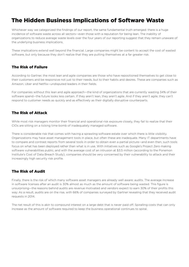## The Hidden Business Implications of Software Waste

Whichever way we categorized the findings of our report, the same fundamental truth emerged: there is a huge incidence of software waste across all sectors—even those with a reputation for being lean. The inability of organizations to reduce average waste levels over the four years of our reporting suggest that they remain unaware of the underlying business implications.

These implications extend well beyond the financial. Large companies might be content to accept the cost of wasted software, but only because they don't realize that they are putting themselves at a far greater risk.

#### The Risk of Failure

According to Gartner, the most lean and agile companies are those who have repositioned themselves to get close to their customers and be responsive not just to their needs, but to their habits and desires. These are companies such as Amazon, Uber and Netflix—undisputed leaders in their fields.

For companies without this lean and agile approach—the kind of organizations that are currently wasting 34% of their software spend—the future looks less certain. If they aren't lean, they aren't agile. And if they aren't agile, they can't respond to customer needs as quickly and as effectively as their digitally disruptive counterparts.

#### The Risk of Attack

While most risk managers monitor their financial and operational risk exposure closely, they fail to realize that their CIOs are sitting on a ticking time bomb of inadequately managed software.

There is considerable risk that comes with having a sprawling software estate over which there is little visibility. Organizations may have asset management tools in place, but often these are inadequate. Many IT departments have to compare and contrast reports from several tools in order to obtain even a partial picture—and even then, such tools focus on what has been deployed rather than what is in use. With initiatives such as Google's Project Zero making software vulnerabilities public, and with the average cost of an intrusion at \$3.5 million (according to the Ponemon Institute's Cost of Data Breach Study), companies should be very concerned by their vulnerability to attack and their increasingly high security risk profile.

#### The Risk of Audit

Finally, there is the risk of which many software asset managers are already well aware: audits. The average increase in software licenses after an audit is 30% almost as much as the amount of software being wasted. This figure is unsurprising—the reasons behind audits are revenue motivated and vendors expect to earn 30% of their profits this way. As a result, audits are on the rise, with 66% of companies surveyed by Gartner revealing that they received audit requests in 2014.

The net result of this is akin to compound interest on a large debt that is never paid off. Spiralling costs that can only increase as the amount of software required to keep the business operational continues to spiral.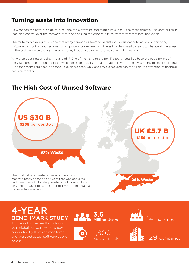## Turning waste into innovation

So what can the enterprise do to break the cycle of waste and reduce its exposure to these threats? The answer lies in regaining control over the software estate and seizing the opportunity to transform waste into innovation.

The route to achieving this is one that many companies seem to persistently overlook: automation. Automating software distribution and reclamation empowers businesses with the agility they need to react to change at the speed of the customer—by saving time and money that can be reinvested into driving innovation.

Why aren't businesses doing this already? One of the key barriers for IT departments has been the need for proofthe vital component required to convince decision makers that automation is worth the investment. To secure funding, IT finance managers need evidence—a business case. Only once this is secured can they gain the attention of financial decision makers.

## **The High Cost of Unused Software**



money already spent on software that was deployed and then unused. Monetary waste calculations include only the top 35 applications (out of 1,800) to maintain a conservative evaluation.

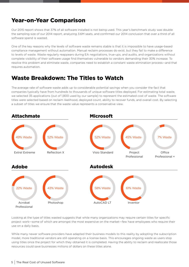## Year-on-Year Comparison

Our 2015 report shows that 37% of all software installed is not being used. This year's benchmark study was double the sampling size of our 2014 report, analyzing 3.6M seats, and confirmed our 2014 conclusion that over a third of all software spend is wasted.

One of the key reasons why the levels of software waste remains stable is that it is impossible to have usage-based compliance management without automation. Manual reclaim processes do exist, but they fail to make a difference to levels of waste. Waste regularly reappears during EA negotiations, true-ups, and audits, and organizations without complete visibility of their software usage find themselves vulnerable to vendors demanding their 30% increase. To resolve this problem and eliminate waste, companies need to establish a constant waste elimination process—and that requires automation.

#### Waste Breakdown: The Titles to Watch

The average rate of software waste adds up to considerable potential savings when you consider the fact that companies typically have from hundreds to thousands of unique software titles deployed. For estimating total waste, we selected 35 applications (out of 1,800 used by our sample) to represent the estimated cost of waste. The software titles were selected based on reclaim likelihood, deployed count, ability to recover funds, and overall cost. By selecting a subset of titles we ensure that the waste value represents a conservative view.



Looking at the type of titles wasted suggests that while many organizations may require certain titles for specific project work—some of which are amongst the most expensive on the market—few have employees who require their use on a daily basis.

While many newer software providers have adapted their business models to this reality by adopting the subscription model, more traditional vendors are still operating on a license basis. This encourages ongoing waste as users stop using titles once the project for which they obtained it is completed. Having the ability to reclaim and reallocate those resources could save businesses millions of dollars on these titles alone.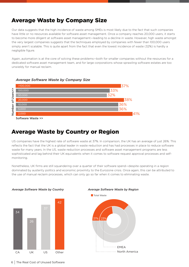#### Average Waste by Company Size

Our data suggests that the high incidence of waste among SMEs is most likely due to the fact that such companies have little or no resources available for software asset management. Once a company reaches 20,000 users, it starts to become more diligent at software asset management—leading to a decline in waste. However, high waste amongst the very largest companies suggests that the techniques employed by companies with fewer than 100,000 users simply aren't scalable. This is quite apart from the fact that even the lowest incidence of waste (32%) is hardly a negligible figure.

Again, automation is at the core of solving these problems—both for smaller companies without the resources for a dedicated software asset management team, and for large corporations whose sprawling software estates are too unwieldy for manual reclaim.



*Average Software Waste by Company Size*

Software Waste >>

#### Average Waste by Country or Region

US companies have the highest rate of software waste at 37%. In comparison, the UK has an average of just 26%. This reflects the fact that the UK is a global leader in waste reduction and has had processes in place to reduce software waste for many years. In the US, waste reduction processes and software asset management programs are less sophisticated and lag behind their UK equivalents when it comes to software request approval processes and selfmonitoring.

Nonetheless, UK firms are still squandering over a quarter of their software spend—despite operating in a region dominated by austerity politics and economic proximity to the Eurozone crisis. Once again, this can be attributed to the use of manual reclaim processes, which can only go so far when it comes to eliminating waste.



*Average Software Waste by Country Average Software Waste by Region*





6 The Real Cost of Unused Software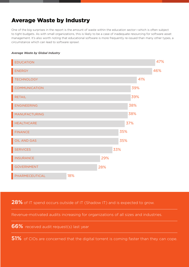## Average Waste by Industry

One of the big surprises in the report is the amount of waste within the education sector—which is often subject to tight budgets. As with small organizations, this is likely to be a case of inadequate resourcing for software asset management. It's also worth noting that educational software is more frequently re-issued than many other types, a circumstance which can lead to software sprawl.

#### *Average Waste by Global Industry*



28% of IT spend occurs outside of IT (Shadow IT) and is expected to grow.

Revenue-motivated audits increasing for organizations of all sizes and industries.

66% received audit request(s) last year

51% of CIOs are concerned that the digital torrent is coming faster than they can cope.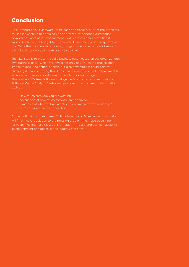## Conclusion

As our report shows, software waste hasn't decreased. A lot of the problems caused by waste in this area can be addressed by adopting automation, however software asset management (SAM) professionals often find it impossible to secure budget for automated based merely on the spectre of risk. Once the risk turns into disaster, things suddenly become a lot more painful and considerably more costly to deal with.

The vital step is to present a solid business case—based on the organization's own business data—which will reveal not only how much the organization stands to lose if no action is taken, but also how much it could gain by changing its habits. Having this data in hand empowers the IT department to secure executive sponsorship—and the all-important budget. This is where 1E's free Software Intelligence Tool comes in. In seconds, its Software Waste Analysis Dashboard provides instant access to information such as:

- How much software you are wasting
- An analysis of how much software can be saved
- Examples of what that reclamation could mean for the business in terms of investment in innovation

Armed with this business case, IT departments and financial decision makers will finally have a solution to the pressing problem they have been ignoring for years. The end result is a transformation—into a brand that can adapt to